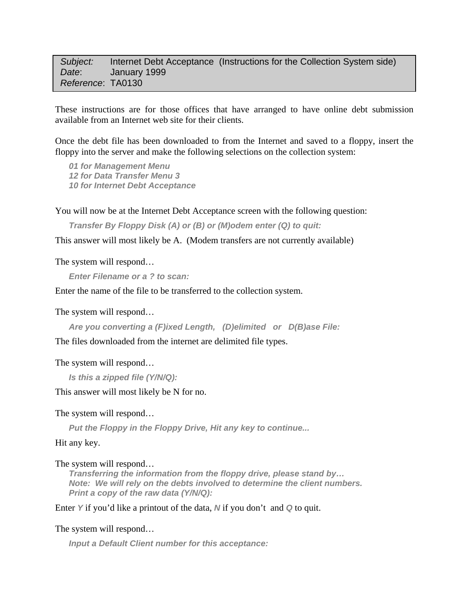## *Subject:* Internet Debt Acceptance (Instructions for the Collection System side)  *Date*: January 1999 *Reference*: TA0130

These instructions are for those offices that have arranged to have online debt submission available from an Internet web site for their clients.

Once the debt file has been downloaded to from the Internet and saved to a floppy, insert the floppy into the server and make the following selections on the collection system:

*01 for Management Menu 12 for Data Transfer Menu 3 10 for Internet Debt Acceptance* 

You will now be at the Internet Debt Acceptance screen with the following question:

*Transfer By Floppy Disk (A) or (B) or (M)odem enter (Q) to quit:* 

This answer will most likely be A. (Modem transfers are not currently available)

The system will respond…

*Enter Filename or a ? to scan:*

Enter the name of the file to be transferred to the collection system.

The system will respond…

*Are you converting a (F)ixed Length, (D)elimited or D(B)ase File:* 

The files downloaded from the internet are delimited file types.

The system will respond…

```
Is this a zipped file (Y/N/Q):
```
This answer will most likely be N for no.

The system will respond…

*Put the Floppy in the Floppy Drive, Hit any key to continue...* 

Hit any key.

The system will respond…

*Transferring the information from the floppy drive, please stand by… Note: We will rely on the debts involved to determine the client numbers. Print a copy of the raw data (Y/N/Q):* 

Enter *Y* if you'd like a printout of the data, *N* if you don't and *Q* to quit.

## The system will respond…

*Input a Default Client number for this acceptance:*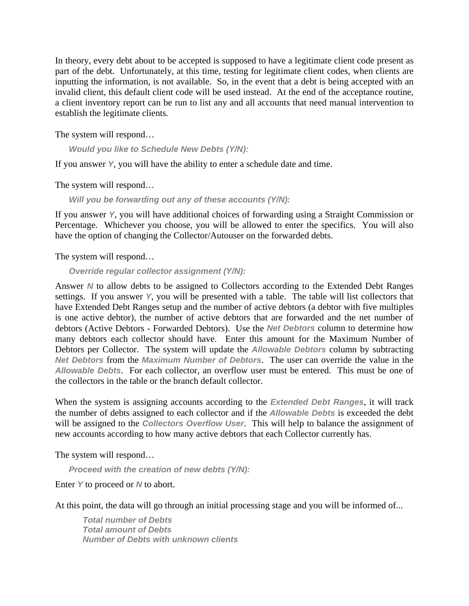In theory, every debt about to be accepted is supposed to have a legitimate client code present as part of the debt. Unfortunately, at this time, testing for legitimate client codes, when clients are inputting the information, is not available. So, in the event that a debt is being accepted with an invalid client, this default client code will be used instead. At the end of the acceptance routine, a client inventory report can be run to list any and all accounts that need manual intervention to establish the legitimate clients*.* 

The system will respond…

*Would you like to Schedule New Debts (Y/N):* 

If you answer *Y*, you will have the ability to enter a schedule date and time.

The system will respond…

*Will you be forwarding out any of these accounts (Y/N):* 

If you answer *Y*, you will have additional choices of forwarding using a Straight Commission or Percentage. Whichever you choose, you will be allowed to enter the specifics. You will also have the option of changing the Collector/Autouser on the forwarded debts.

The system will respond…

*Override regular collector assignment (Y/N):* 

Answer *N* to allow debts to be assigned to Collectors according to the Extended Debt Ranges settings. If you answer *Y*, you will be presented with a table. The table will list collectors that have Extended Debt Ranges setup and the number of active debtors (a debtor with five multiples is one active debtor), the number of active debtors that are forwarded and the net number of debtors (Active Debtors - Forwarded Debtors). Use the *Net Debtors* column to determine how many debtors each collector should have. Enter this amount for the Maximum Number of Debtors per Collector. The system will update the *Allowable Debtors* column by subtracting *Net Debtors* from the *Maximum Number of Debtors*. The user can override the value in the *Allowable Debts*. For each collector, an overflow user must be entered. This must be one of the collectors in the table or the branch default collector.

When the system is assigning accounts according to the *Extended Debt Ranges*, it will track the number of debts assigned to each collector and if the *Allowable Debts* is exceeded the debt will be assigned to the *Collectors Overflow User*. This will help to balance the assignment of new accounts according to how many active debtors that each Collector currently has.

The system will respond…

*Proceed with the creation of new debts (Y/N):* 

Enter *Y* to proceed or *N* to abort.

At this point, the data will go through an initial processing stage and you will be informed of...

*Total number of Debts Total amount of Debts Number of Debts with unknown clients*